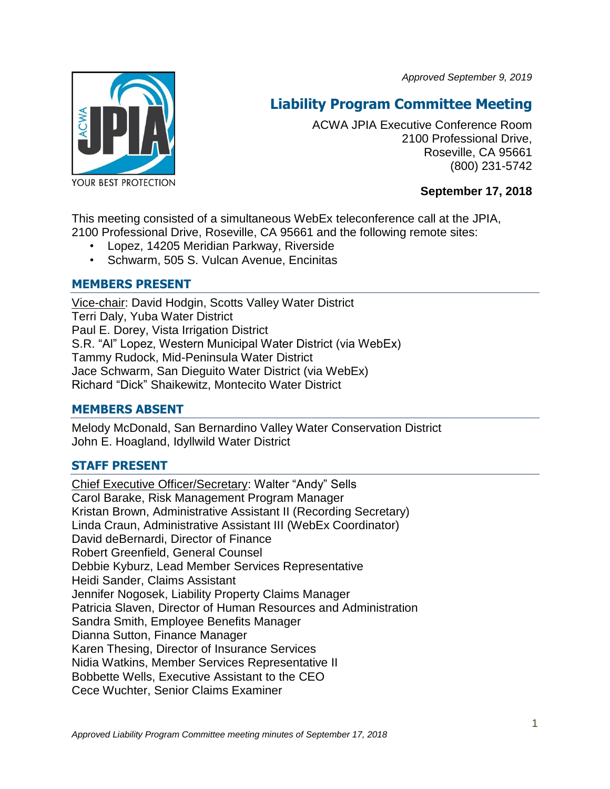*Approved September 9, 2019*



# **Liability Program Committee Meeting**

ACWA JPIA Executive Conference Room 2100 Professional Drive, Roseville, CA 95661 (800) 231-5742

# **September 17, 2018**

This meeting consisted of a simultaneous WebEx teleconference call at the JPIA, 2100 Professional Drive, Roseville, CA 95661 and the following remote sites:

- Lopez, 14205 Meridian Parkway, Riverside
- Schwarm, 505 S. Vulcan Avenue, Encinitas

# **MEMBERS PRESENT**

Vice-chair: David Hodgin, Scotts Valley Water District Terri Daly, Yuba Water District Paul E. Dorey, Vista Irrigation District S.R. "Al" Lopez, Western Municipal Water District (via WebEx) Tammy Rudock, Mid-Peninsula Water District Jace Schwarm, San Dieguito Water District (via WebEx) Richard "Dick" Shaikewitz, Montecito Water District

## **MEMBERS ABSENT**

Melody McDonald, San Bernardino Valley Water Conservation District John E. Hoagland, Idyllwild Water District

# **STAFF PRESENT**

Chief Executive Officer/Secretary: Walter "Andy" Sells Carol Barake, Risk Management Program Manager Kristan Brown, Administrative Assistant II (Recording Secretary) Linda Craun, Administrative Assistant III (WebEx Coordinator) David deBernardi, Director of Finance Robert Greenfield, General Counsel Debbie Kyburz, Lead Member Services Representative Heidi Sander, Claims Assistant Jennifer Nogosek, Liability Property Claims Manager Patricia Slaven, Director of Human Resources and Administration Sandra Smith, Employee Benefits Manager Dianna Sutton, Finance Manager Karen Thesing, Director of Insurance Services Nidia Watkins, Member Services Representative II Bobbette Wells, Executive Assistant to the CEO Cece Wuchter, Senior Claims Examiner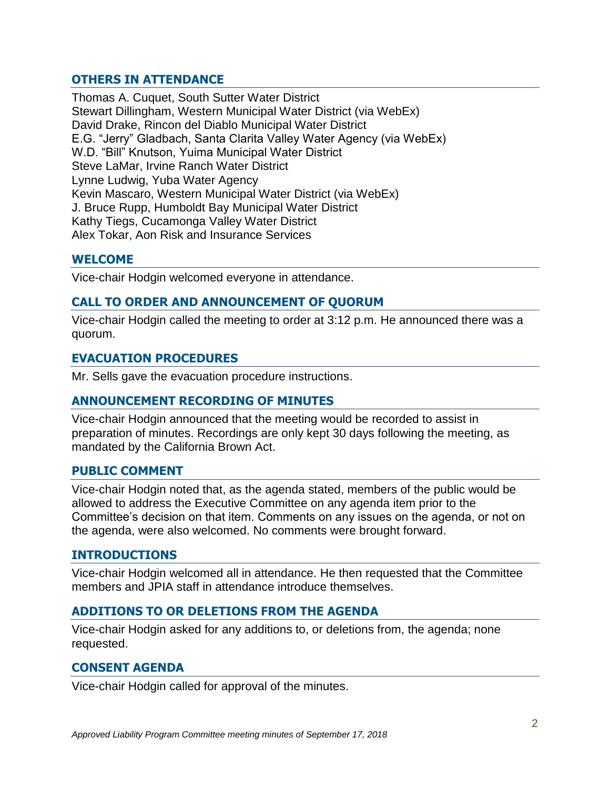# **OTHERS IN ATTENDANCE**

Thomas A. Cuquet, South Sutter Water District Stewart Dillingham, Western Municipal Water District (via WebEx) David Drake, Rincon del Diablo Municipal Water District E.G. "Jerry" Gladbach, Santa Clarita Valley Water Agency (via WebEx) W.D. "Bill" Knutson, Yuima Municipal Water District Steve LaMar, Irvine Ranch Water District Lynne Ludwig, Yuba Water Agency Kevin Mascaro, Western Municipal Water District (via WebEx) J. Bruce Rupp, Humboldt Bay Municipal Water District Kathy Tiegs, Cucamonga Valley Water District Alex Tokar, Aon Risk and Insurance Services

## **WELCOME**

Vice-chair Hodgin welcomed everyone in attendance.

## **CALL TO ORDER AND ANNOUNCEMENT OF QUORUM**

Vice-chair Hodgin called the meeting to order at 3:12 p.m. He announced there was a quorum.

#### **EVACUATION PROCEDURES**

Mr. Sells gave the evacuation procedure instructions.

### **ANNOUNCEMENT RECORDING OF MINUTES**

Vice-chair Hodgin announced that the meeting would be recorded to assist in preparation of minutes. Recordings are only kept 30 days following the meeting, as mandated by the California Brown Act.

#### **PUBLIC COMMENT**

Vice-chair Hodgin noted that, as the agenda stated, members of the public would be allowed to address the Executive Committee on any agenda item prior to the Committee's decision on that item. Comments on any issues on the agenda, or not on the agenda, were also welcomed. No comments were brought forward.

#### **INTRODUCTIONS**

Vice-chair Hodgin welcomed all in attendance. He then requested that the Committee members and JPIA staff in attendance introduce themselves.

## **ADDITIONS TO OR DELETIONS FROM THE AGENDA**

Vice-chair Hodgin asked for any additions to, or deletions from, the agenda; none requested.

#### **CONSENT AGENDA**

Vice-chair Hodgin called for approval of the minutes.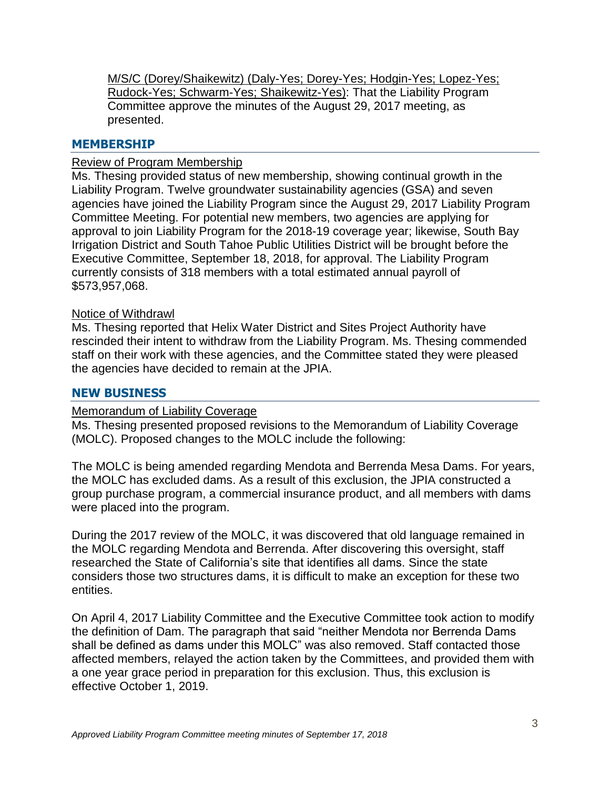M/S/C (Dorey/Shaikewitz) (Daly-Yes; Dorey-Yes; Hodgin-Yes; Lopez-Yes; Rudock-Yes; Schwarm-Yes; Shaikewitz-Yes): That the Liability Program Committee approve the minutes of the August 29, 2017 meeting, as presented.

#### **MEMBERSHIP**

#### Review of Program Membership

Ms. Thesing provided status of new membership, showing continual growth in the Liability Program. Twelve groundwater sustainability agencies (GSA) and seven agencies have joined the Liability Program since the August 29, 2017 Liability Program Committee Meeting. For potential new members, two agencies are applying for approval to join Liability Program for the 2018-19 coverage year; likewise, South Bay Irrigation District and South Tahoe Public Utilities District will be brought before the Executive Committee, September 18, 2018, for approval. The Liability Program currently consists of 318 members with a total estimated annual payroll of \$573,957,068.

#### Notice of Withdrawl

Ms. Thesing reported that Helix Water District and Sites Project Authority have rescinded their intent to withdraw from the Liability Program. Ms. Thesing commended staff on their work with these agencies, and the Committee stated they were pleased the agencies have decided to remain at the JPIA.

#### **NEW BUSINESS**

#### Memorandum of Liability Coverage

Ms. Thesing presented proposed revisions to the Memorandum of Liability Coverage (MOLC). Proposed changes to the MOLC include the following:

The MOLC is being amended regarding Mendota and Berrenda Mesa Dams. For years, the MOLC has excluded dams. As a result of this exclusion, the JPIA constructed a group purchase program, a commercial insurance product, and all members with dams were placed into the program.

During the 2017 review of the MOLC, it was discovered that old language remained in the MOLC regarding Mendota and Berrenda. After discovering this oversight, staff researched the State of California's site that identifies all dams. Since the state considers those two structures dams, it is difficult to make an exception for these two entities.

On April 4, 2017 Liability Committee and the Executive Committee took action to modify the definition of Dam. The paragraph that said "neither Mendota nor Berrenda Dams shall be defined as dams under this MOLC" was also removed. Staff contacted those affected members, relayed the action taken by the Committees, and provided them with a one year grace period in preparation for this exclusion. Thus, this exclusion is effective October 1, 2019.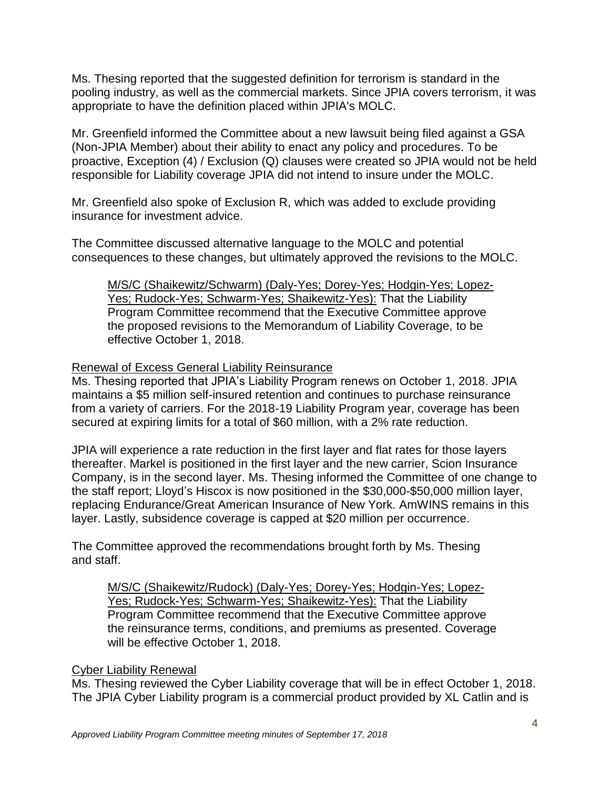Ms. Thesing reported that the suggested definition for terrorism is standard in the pooling industry, as well as the commercial markets. Since JPIA covers terrorism, it was appropriate to have the definition placed within JPIA's MOLC.

Mr. Greenfield informed the Committee about a new lawsuit being filed against a GSA (Non-JPIA Member) about their ability to enact any policy and procedures. To be proactive, Exception (4) / Exclusion (Q) clauses were created so JPIA would not be held responsible for Liability coverage JPIA did not intend to insure under the MOLC.

Mr. Greenfield also spoke of Exclusion R, which was added to exclude providing insurance for investment advice.

The Committee discussed alternative language to the MOLC and potential consequences to these changes, but ultimately approved the revisions to the MOLC.

M/S/C (Shaikewitz/Schwarm) (Daly-Yes; Dorey-Yes; Hodgin-Yes; Lopez-Yes; Rudock-Yes; Schwarm-Yes; Shaikewitz-Yes): That the Liability Program Committee recommend that the Executive Committee approve the proposed revisions to the Memorandum of Liability Coverage, to be effective October 1, 2018.

## Renewal of Excess General Liability Reinsurance

Ms. Thesing reported that JPIA's Liability Program renews on October 1, 2018. JPIA maintains a \$5 million self-insured retention and continues to purchase reinsurance from a variety of carriers. For the 2018-19 Liability Program year, coverage has been secured at expiring limits for a total of \$60 million, with a 2% rate reduction.

JPIA will experience a rate reduction in the first layer and flat rates for those layers thereafter. Markel is positioned in the first layer and the new carrier, Scion Insurance Company, is in the second layer. Ms. Thesing informed the Committee of one change to the staff report; Lloyd's Hiscox is now positioned in the \$30,000-\$50,000 million layer, replacing Endurance/Great American Insurance of New York. AmWINS remains in this layer. Lastly, subsidence coverage is capped at \$20 million per occurrence.

The Committee approved the recommendations brought forth by Ms. Thesing and staff.

M/S/C (Shaikewitz/Rudock) (Daly-Yes; Dorey-Yes; Hodgin-Yes; Lopez-Yes; Rudock-Yes; Schwarm-Yes; Shaikewitz-Yes): That the Liability Program Committee recommend that the Executive Committee approve the reinsurance terms, conditions, and premiums as presented. Coverage will be effective October 1, 2018.

# Cyber Liability Renewal

Ms. Thesing reviewed the Cyber Liability coverage that will be in effect October 1, 2018. The JPIA Cyber Liability program is a commercial product provided by XL Catlin and is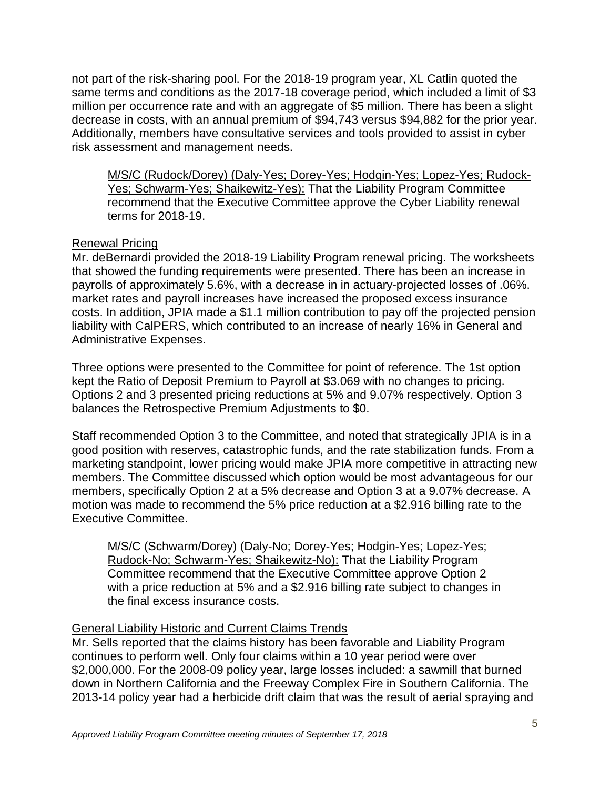not part of the risk-sharing pool. For the 2018-19 program year, XL Catlin quoted the same terms and conditions as the 2017-18 coverage period, which included a limit of \$3 million per occurrence rate and with an aggregate of \$5 million. There has been a slight decrease in costs, with an annual premium of \$94,743 versus \$94,882 for the prior year. Additionally, members have consultative services and tools provided to assist in cyber risk assessment and management needs.

M/S/C (Rudock/Dorey) (Daly-Yes; Dorey-Yes; Hodgin-Yes; Lopez-Yes; Rudock-Yes; Schwarm-Yes; Shaikewitz-Yes): That the Liability Program Committee recommend that the Executive Committee approve the Cyber Liability renewal terms for 2018-19.

## Renewal Pricing

Mr. deBernardi provided the 2018-19 Liability Program renewal pricing. The worksheets that showed the funding requirements were presented. There has been an increase in payrolls of approximately 5.6%, with a decrease in in actuary-projected losses of .06%. market rates and payroll increases have increased the proposed excess insurance costs. In addition, JPIA made a \$1.1 million contribution to pay off the projected pension liability with CalPERS, which contributed to an increase of nearly 16% in General and Administrative Expenses.

Three options were presented to the Committee for point of reference. The 1st option kept the Ratio of Deposit Premium to Payroll at \$3.069 with no changes to pricing. Options 2 and 3 presented pricing reductions at 5% and 9.07% respectively. Option 3 balances the Retrospective Premium Adjustments to \$0.

Staff recommended Option 3 to the Committee, and noted that strategically JPIA is in a good position with reserves, catastrophic funds, and the rate stabilization funds. From a marketing standpoint, lower pricing would make JPIA more competitive in attracting new members. The Committee discussed which option would be most advantageous for our members, specifically Option 2 at a 5% decrease and Option 3 at a 9.07% decrease. A motion was made to recommend the 5% price reduction at a \$2.916 billing rate to the Executive Committee.

M/S/C (Schwarm/Dorey) (Daly-No; Dorey-Yes; Hodgin-Yes; Lopez-Yes; Rudock-No; Schwarm-Yes; Shaikewitz-No): That the Liability Program Committee recommend that the Executive Committee approve Option 2 with a price reduction at 5% and a \$2.916 billing rate subject to changes in the final excess insurance costs.

# General Liability Historic and Current Claims Trends

Mr. Sells reported that the claims history has been favorable and Liability Program continues to perform well. Only four claims within a 10 year period were over \$2,000,000. For the 2008-09 policy year, large losses included: a sawmill that burned down in Northern California and the Freeway Complex Fire in Southern California. The 2013-14 policy year had a herbicide drift claim that was the result of aerial spraying and